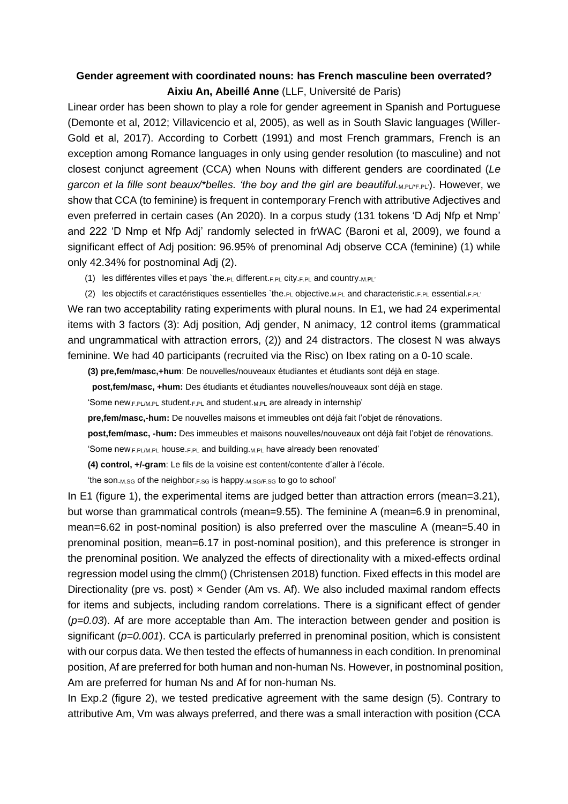## **Gender agreement with coordinated nouns: has French masculine been overrated? Aixiu An, Abeillé Anne** (LLF, Université de Paris)

Linear order has been shown to play a role for gender agreement in Spanish and Portuguese (Demonte et al, 2012; Villavicencio et al, 2005), as well as in South Slavic languages (Willer-Gold et al, 2017). According to Corbett (1991) and most French grammars, French is an exception among Romance languages in only using gender resolution (to masculine) and not closest conjunct agreement (CCA) when Nouns with different genders are coordinated (*Le garcon et la fille sont beaux/\*belles. 'the boy and the girl are beautiful.<sub>M.PL/\*F.PL</sub>'). However, we* show that CCA (to feminine) is frequent in contemporary French with attributive Adjectives and even preferred in certain cases (An 2020). In a corpus study (131 tokens 'D Adj Nfp et Nmp' and 222 'D Nmp et Nfp Adj' randomly selected in frWAC (Baroni et al, 2009), we found a significant effect of Adj position: 96.95% of prenominal Adj observe CCA (feminine) (1) while only 42.34% for postnominal Adj (2).

- (1) les différentes villes et pays `the.PL different.F.PL city.F.PL and country.M.PL'
- (2) les objectifs et caractéristiques essentielles `the.PL objective.M.PL and characteristic.F.PL essential.F.PL'

We ran two acceptability rating experiments with plural nouns. In E1, we had 24 experimental items with 3 factors (3): Adj position, Adj gender, N animacy, 12 control items (grammatical and ungrammatical with attraction errors, (2)) and 24 distractors. The closest N was always feminine. We had 40 participants (recruited via the Risc) on Ibex rating on a 0-10 scale.

**(3) pre,fem/masc,+hum**: De nouvelles/nouveaux étudiantes et étudiants sont déjà en stage.

**post,fem/masc, +hum:** Des étudiants et étudiantes nouvelles/nouveaux sont déjà en stage.

'Some new.F.PL/M.PL student.F.PL and student.M.PL are already in internship'

**pre,fem/masc,-hum:** De nouvelles maisons et immeubles ont déjà fait l'objet de rénovations.

**post,fem/masc, -hum:** Des immeubles et maisons nouvelles/nouveaux ont déjà fait l'objet de rénovations.

'Some new.F.PL/M.PL house.F.PL and building.M.PL have already been renovated'

**(4) control, +/-gram**: Le fils de la voisine est content/contente d'aller à l'école.

'the son.M.SG of the neighbor.F.SG is happy.M.SG/F.SG to go to school'

In E1 (figure 1), the experimental items are judged better than attraction errors (mean=3.21), but worse than grammatical controls (mean=9.55). The feminine A (mean=6.9 in prenominal, mean=6.62 in post-nominal position) is also preferred over the masculine A (mean=5.40 in prenominal position, mean=6.17 in post-nominal position), and this preference is stronger in the prenominal position. We analyzed the effects of directionality with a mixed-effects ordinal regression model using the clmm() (Christensen 2018) function. Fixed effects in this model are Directionality (pre vs. post)  $\times$  Gender (Am vs. Af). We also included maximal random effects for items and subjects, including random correlations. There is a significant effect of gender (*p=0.03*). Af are more acceptable than Am. The interaction between gender and position is significant (*p=0.001*). CCA is particularly preferred in prenominal position, which is consistent with our corpus data. We then tested the effects of humanness in each condition. In prenominal position, Af are preferred for both human and non-human Ns. However, in postnominal position, Am are preferred for human Ns and Af for non-human Ns.

In Exp.2 (figure 2), we tested predicative agreement with the same design (5). Contrary to attributive Am, Vm was always preferred, and there was a small interaction with position (CCA